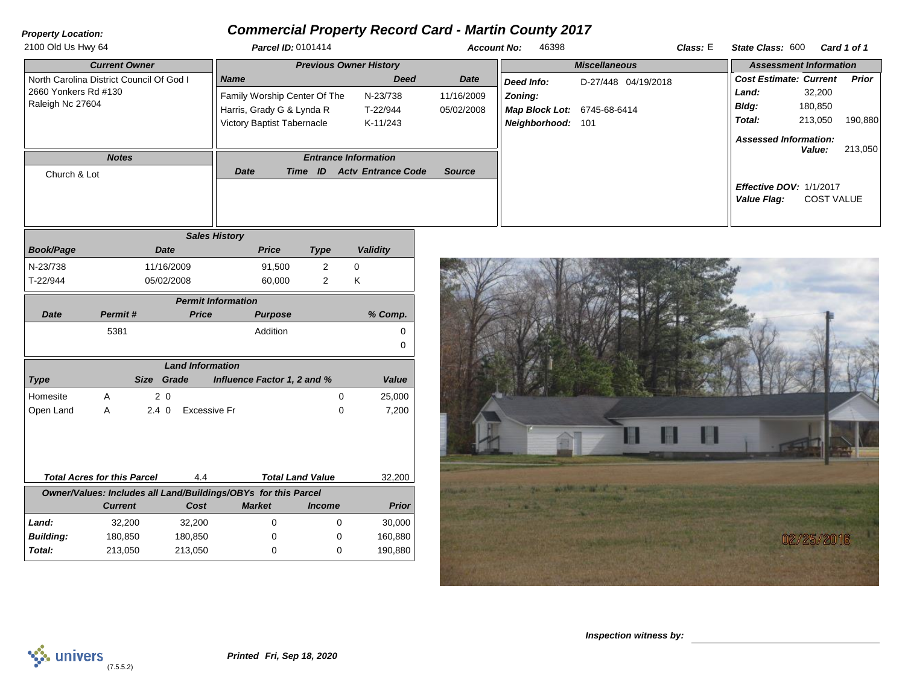## *Property Location:*

## *Commercial Property Record Card - Martin County 2017*

| <b>Parcel ID: 0101414</b>         |             |                           | 46398                | Class: E            |                                                         |         | Card 1 of 1                                                                                                                                               |  |
|-----------------------------------|-------------|---------------------------|----------------------|---------------------|---------------------------------------------------------|---------|-----------------------------------------------------------------------------------------------------------------------------------------------------------|--|
| <b>Previous Owner History</b>     |             |                           | <b>Miscellaneous</b> |                     | <b>Assessment Information</b>                           |         |                                                                                                                                                           |  |
| <b>Name</b>                       | <b>Deed</b> | Date                      | Deed Info:           | D-27/448 04/19/2018 |                                                         |         | Prior                                                                                                                                                     |  |
| Family Worship Center Of The      | N-23/738    | 11/16/2009                | Zoning:              |                     | Land:                                                   | 32,200  |                                                                                                                                                           |  |
| Harris, Grady G & Lynda R         | T-22/944    | 05/02/2008                |                      |                     | Bldg:                                                   | 180,850 |                                                                                                                                                           |  |
| <b>Victory Baptist Tabernacle</b> | K-11/243    |                           |                      |                     | Total:                                                  | 213,050 | 190,880                                                                                                                                                   |  |
|                                   |             |                           |                      |                     |                                                         |         |                                                                                                                                                           |  |
| <b>Entrance Information</b>       |             |                           |                      |                     |                                                         |         | 213,050                                                                                                                                                   |  |
| Date<br>Time ID                   |             | Source                    |                      |                     |                                                         |         |                                                                                                                                                           |  |
|                                   |             |                           |                      |                     | Value Flag:                                             |         |                                                                                                                                                           |  |
|                                   |             | <b>Acty Entrance Code</b> |                      | <b>Account No:</b>  | <b>Map Block Lot: 6745-68-6414</b><br>Neighborhood: 101 |         | State Class: 600<br><b>Cost Estimate: Current</b><br><b>Assessed Information:</b><br><b>Value:</b><br><b>Effective DOV: 1/1/2017</b><br><b>COST VALUE</b> |  |

| <b>Sales History</b> |            |              |      |          |  |  |  |  |
|----------------------|------------|--------------|------|----------|--|--|--|--|
| <b>Book/Page</b>     | Date       | <b>Price</b> | Type | Validity |  |  |  |  |
| N-23/738             | 11/16/2009 | 91,500       |      |          |  |  |  |  |
| T-22/944             | 05/02/2008 | 60.000       |      |          |  |  |  |  |

| <b>Permit Information</b>                                      |                                    |                |              |                             |                         |              |  |  |  |
|----------------------------------------------------------------|------------------------------------|----------------|--------------|-----------------------------|-------------------------|--------------|--|--|--|
| Date                                                           | Permit#                            |                | <b>Price</b> | <b>Purpose</b>              |                         | % Comp.      |  |  |  |
|                                                                | 5381                               |                |              | Addition                    |                         | 0            |  |  |  |
|                                                                |                                    |                |              |                             |                         | 0            |  |  |  |
| <b>Land Information</b>                                        |                                    |                |              |                             |                         |              |  |  |  |
| <b>Type</b>                                                    |                                    | Size<br>Grade  |              | Influence Factor 1, 2 and % |                         | Value        |  |  |  |
| Homesite                                                       | A                                  | 2 <sub>0</sub> |              |                             | $\Omega$                | 25,000       |  |  |  |
| Open Land                                                      | A                                  | $2.4 \Omega$   | Excessive Fr |                             | $\Omega$                | 7,200        |  |  |  |
|                                                                |                                    |                |              |                             |                         |              |  |  |  |
|                                                                |                                    |                |              |                             |                         |              |  |  |  |
|                                                                |                                    |                |              |                             |                         |              |  |  |  |
|                                                                |                                    |                |              |                             |                         |              |  |  |  |
|                                                                | <b>Total Acres for this Parcel</b> |                | 4.4          |                             | <b>Total Land Value</b> | 32,200       |  |  |  |
| Owner/Values: Includes all Land/Buildings/OBYs for this Parcel |                                    |                |              |                             |                         |              |  |  |  |
|                                                                | <b>Current</b>                     |                | Cost         | <b>Market</b>               | <i><b>Income</b></i>    | <b>Prior</b> |  |  |  |
| Land:                                                          | 32,200                             |                | 32,200       | $\Omega$                    | $\Omega$                | 30,000       |  |  |  |
| <b>Building:</b>                                               | 180,850                            |                | 180,850      | 0                           | 0                       | 160,880      |  |  |  |
| Total:                                                         | 213,050                            |                | 213,050      | 0                           | 0                       | 190,880      |  |  |  |





*Inspection witness by:*